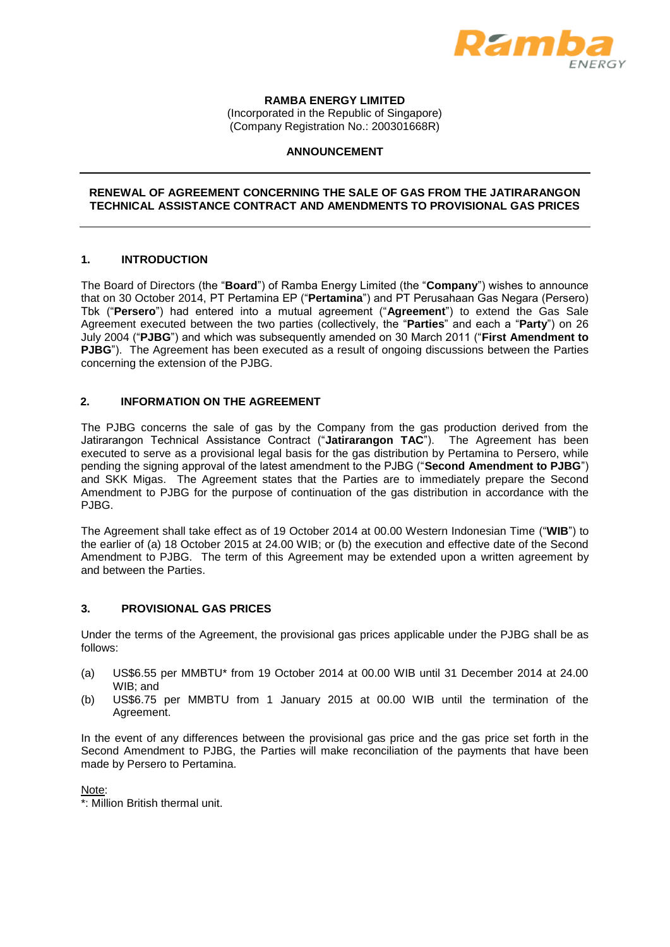

# **RAMBA ENERGY LIMITED**

(Incorporated in the Republic of Singapore) (Company Registration No.: 200301668R)

### **ANNOUNCEMENT**

### **RENEWAL OF AGREEMENT CONCERNING THE SALE OF GAS FROM THE JATIRARANGON TECHNICAL ASSISTANCE CONTRACT AND AMENDMENTS TO PROVISIONAL GAS PRICES**

### **1. INTRODUCTION**

The Board of Directors (the "**Board**") of Ramba Energy Limited (the "**Company**") wishes to announce that on 30 October 2014, PT Pertamina EP ("**Pertamina**") and PT Perusahaan Gas Negara (Persero) Tbk ("**Persero**") had entered into a mutual agreement ("**Agreement**") to extend the Gas Sale Agreement executed between the two parties (collectively, the "**Parties**" and each a "**Party**") on 26 July 2004 ("**PJBG**") and which was subsequently amended on 30 March 2011 ("**First Amendment to PJBG**"). The Agreement has been executed as a result of ongoing discussions between the Parties concerning the extension of the PJBG.

## **2. INFORMATION ON THE AGREEMENT**

The PJBG concerns the sale of gas by the Company from the gas production derived from the Jatirarangon Technical Assistance Contract ("**Jatirarangon TAC**"). The Agreement has been executed to serve as a provisional legal basis for the gas distribution by Pertamina to Persero, while pending the signing approval of the latest amendment to the PJBG ("**Second Amendment to PJBG**") and SKK Migas. The Agreement states that the Parties are to immediately prepare the Second Amendment to PJBG for the purpose of continuation of the gas distribution in accordance with the PJBG.

The Agreement shall take effect as of 19 October 2014 at 00.00 Western Indonesian Time ("**WIB**") to the earlier of (a) 18 October 2015 at 24.00 WIB; or (b) the execution and effective date of the Second Amendment to PJBG. The term of this Agreement may be extended upon a written agreement by and between the Parties.

## **3. PROVISIONAL GAS PRICES**

Under the terms of the Agreement, the provisional gas prices applicable under the PJBG shall be as follows:

- (a) US\$6.55 per MMBTU\* from 19 October 2014 at 00.00 WIB until 31 December 2014 at 24.00 WIB; and
- (b) US\$6.75 per MMBTU from 1 January 2015 at 00.00 WIB until the termination of the Agreement.

In the event of any differences between the provisional gas price and the gas price set forth in the Second Amendment to PJBG, the Parties will make reconciliation of the payments that have been made by Persero to Pertamina.

Note:

\*: Million British thermal unit.